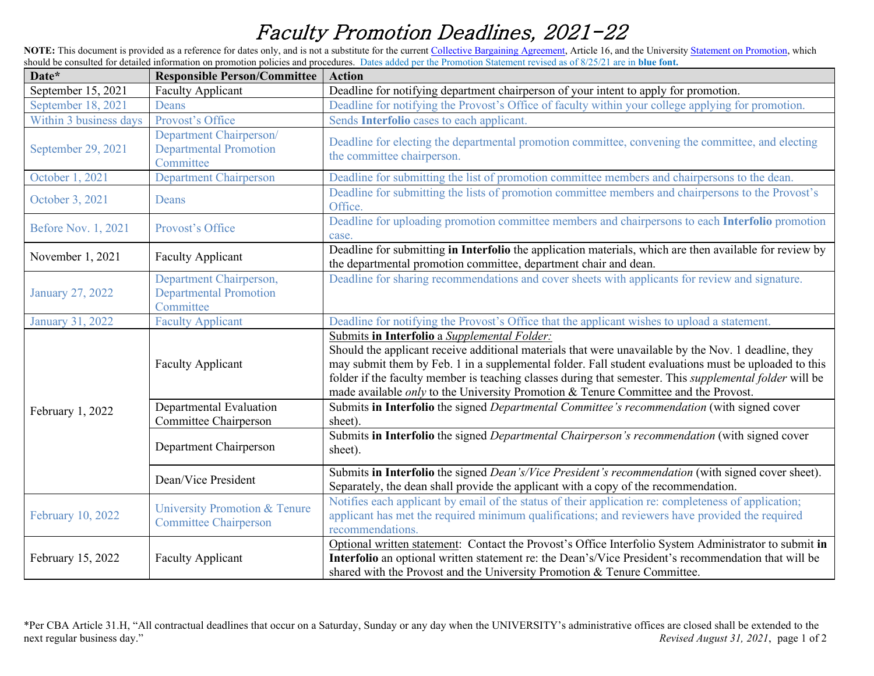## Faculty Promotion Deadlines, 2021-22

NOTE: This document is provided as a reference for dates only, and is not a substitute for the curren[t Collective Bargaining Agreement,](https://www.passhe.edu/inside/HR/LR/Documents/APSCUF_July2019-June2023.pdf) Article 16, and the University [Statement on Promotion,](https://www.millersville.edu/about/administration/policies/pdf/faculty/promotion-statement.pdf) which should be consulted for detailed information on promotion policies and procedures. Dates added per the Promotion Statement revised as of 8/25/21 are in **blue font.**

| Date*                      | <b>Responsible Person/Committee</b>                                   | <b>Action</b>                                                                                                                                                                                                                                                                                                                                                                                                                                                                 |
|----------------------------|-----------------------------------------------------------------------|-------------------------------------------------------------------------------------------------------------------------------------------------------------------------------------------------------------------------------------------------------------------------------------------------------------------------------------------------------------------------------------------------------------------------------------------------------------------------------|
| September 15, 2021         | <b>Faculty Applicant</b>                                              | Deadline for notifying department chairperson of your intent to apply for promotion.                                                                                                                                                                                                                                                                                                                                                                                          |
| September 18, 2021         | Deans                                                                 | Deadline for notifying the Provost's Office of faculty within your college applying for promotion.                                                                                                                                                                                                                                                                                                                                                                            |
| Within 3 business days     | Provost's Office                                                      | Sends Interfolio cases to each applicant.                                                                                                                                                                                                                                                                                                                                                                                                                                     |
| September 29, 2021         | Department Chairperson/<br><b>Departmental Promotion</b><br>Committee | Deadline for electing the departmental promotion committee, convening the committee, and electing<br>the committee chairperson.                                                                                                                                                                                                                                                                                                                                               |
| October 1, 2021            | <b>Department Chairperson</b>                                         | Deadline for submitting the list of promotion committee members and chairpersons to the dean.                                                                                                                                                                                                                                                                                                                                                                                 |
| October 3, 2021            | <b>Deans</b>                                                          | Deadline for submitting the lists of promotion committee members and chairpersons to the Provost's<br>Office.                                                                                                                                                                                                                                                                                                                                                                 |
| <b>Before Nov. 1, 2021</b> | Provost's Office                                                      | Deadline for uploading promotion committee members and chairpersons to each Interfolio promotion<br>case.                                                                                                                                                                                                                                                                                                                                                                     |
| November 1, 2021           | <b>Faculty Applicant</b>                                              | Deadline for submitting in Interfolio the application materials, which are then available for review by<br>the departmental promotion committee, department chair and dean.                                                                                                                                                                                                                                                                                                   |
| <b>January 27, 2022</b>    | Department Chairperson,<br><b>Departmental Promotion</b><br>Committee | Deadline for sharing recommendations and cover sheets with applicants for review and signature.                                                                                                                                                                                                                                                                                                                                                                               |
| January 31, 2022           | <b>Faculty Applicant</b>                                              | Deadline for notifying the Provost's Office that the applicant wishes to upload a statement.                                                                                                                                                                                                                                                                                                                                                                                  |
| February 1, 2022           | <b>Faculty Applicant</b>                                              | Submits in Interfolio a Supplemental Folder:<br>Should the applicant receive additional materials that were unavailable by the Nov. 1 deadline, they<br>may submit them by Feb. 1 in a supplemental folder. Fall student evaluations must be uploaded to this<br>folder if the faculty member is teaching classes during that semester. This <i>supplemental folder</i> will be<br>made available <i>only</i> to the University Promotion & Tenure Committee and the Provost. |
|                            | Departmental Evaluation                                               | Submits in Interfolio the signed Departmental Committee's recommendation (with signed cover                                                                                                                                                                                                                                                                                                                                                                                   |
|                            | Committee Chairperson                                                 | sheet).                                                                                                                                                                                                                                                                                                                                                                                                                                                                       |
|                            | Department Chairperson                                                | Submits in Interfolio the signed Departmental Chairperson's recommendation (with signed cover<br>sheet).                                                                                                                                                                                                                                                                                                                                                                      |
|                            | Dean/Vice President                                                   | Submits in Interfolio the signed Dean's/Vice President's recommendation (with signed cover sheet).<br>Separately, the dean shall provide the applicant with a copy of the recommendation.                                                                                                                                                                                                                                                                                     |
| February 10, 2022          | University Promotion & Tenure<br><b>Committee Chairperson</b>         | Notifies each applicant by email of the status of their application re: completeness of application;<br>applicant has met the required minimum qualifications; and reviewers have provided the required<br>recommendations.                                                                                                                                                                                                                                                   |
| February 15, 2022          | <b>Faculty Applicant</b>                                              | Optional written statement: Contact the Provost's Office Interfolio System Administrator to submit in<br>Interfolio an optional written statement re: the Dean's/Vice President's recommendation that will be<br>shared with the Provost and the University Promotion & Tenure Committee.                                                                                                                                                                                     |

\*Per CBA Article 31.H, "All contractual deadlines that occur on a Saturday, Sunday or any day when the UNIVERSITY's administrative offices are closed shall be extended to the next regular business day."<br>Revised August 31, Revised August 31, 2021, page 1 of 2